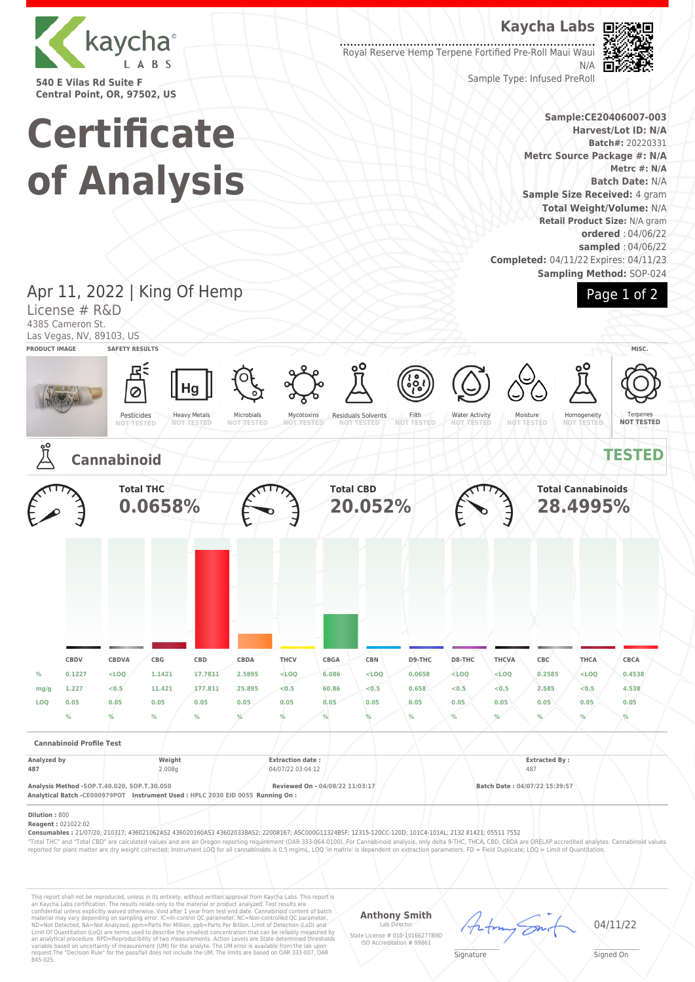

**540 E Vilas Rd Suite F Central Point, OR, 97502, US**

**Certificate**

**of Analysis**

# **Kaycha Labs**

Royal Reserve Hemp Terpene Fortified Pre-Roll Maui Waui N/A



Sample Type: Infused PreRoll

### **Sample:CE20406007-003 Harvest/Lot ID: N/A Batch#:** 20220331 **Metrc Source Package #: N/A Metrc #: N/A Batch Date:** N/A **Sample Size Received:** 4 gram **Total Weight/Volume:** N/A **Retail Product Size:** N/A gram **ordered** : 04/06/22 **sampled** : 04/06/22

**Sampling Method:** SOP-024



Terpenes **NOT TESTED**

### **Completed:** 04/11/22 Expires: 04/11/23 Apr 11, 2022 | King Of Hemp License # R&D 4385 Cameron St. Las Vegas, NV, 89103, US **PRODUCT IMAGE SAFETY RESULTS MISC.** Hg Ø Heavy Metals Pesticides Microbials Residuals Solvents Filth Water Activity Mycotoxins **NOT TESTED** Moisture **NOT TESTED** Homogeneity **NOT TESTED NOT TESTED NOT TESTED NOT TESTED NOT TESTED Cannabinoid TESTED Total THC Total CBD Total Cannabinoids 0.0658% 20.052% 28.4995% CBDV CBDVA CBG CBD CBDA THCV CBGA CBN D9-THC D8-THC THCVA CBC THCA CBCA % 0.1227 <LOQ 1.1421 17.7811 2.5895 <LOQ 6.086 <LOQ 0.0658 <LOQ <LOQ 0.2585 <LOQ 0.4538 mg/g 1.227 <0.5 11.421 177.811 25.895 <0.5 60.86 <0.5 0.658 <0.5 <0.5 2.585 <0.5 4.538 LOQ 0.05 0.05 0.05 0.05 0.05 0.05 0.05 0.05 0.05 0.05 0.05 0.05 0.05 0.05 % % % % % % % % % % % % % % Cannabinoid Profile Test Analyzed by Weight Extraction date : Extracted By : 487** 2.008g 2.008g 9 2.009722 03:04:12 487 **Analysis Method -SOP.T.40.020, SOP.T.30.050 Reviewed On - 04/08/22 11:03:17 Batch Date : 04/07/22 15:39:57 Analytical Batch -CE000979POT Instrument Used : HPLC 2030 EID 0055 Running On : Dilution :** 800

**Reagent :** 021022.02

**Consumables :** 21/07/20; 210317; 436021062AS2 436020160AS3 436020338AS2; 22008167; ASC000G11324BSF; 12315-120CC-120D; 101C4-101AL; 2132 81421; 05511 7552

"Total THC" and "Total CBD" are calculated values and are an Oregon reporting requirement (OAR 333-064-0100). For Cannabinoid analysis, only delta 9-THC, THCA, CBD, CBDA are ORELAP accredited analytes. Cannabinoid values<br>r

This report shall not be reproduced, unless in its entirety, without written approval from Kaycha Labs. This report is<br>an Kaycha Labs certification. The results relate only to the material or product analyzed. Test result

**Anthony Smith**

Lab Director State License # 010-10166277B9D ISO Accreditation # 99861

04/11/22

 $\mathscr{L}\setminus\mathscr{L}$ **Signature** 

Signed On